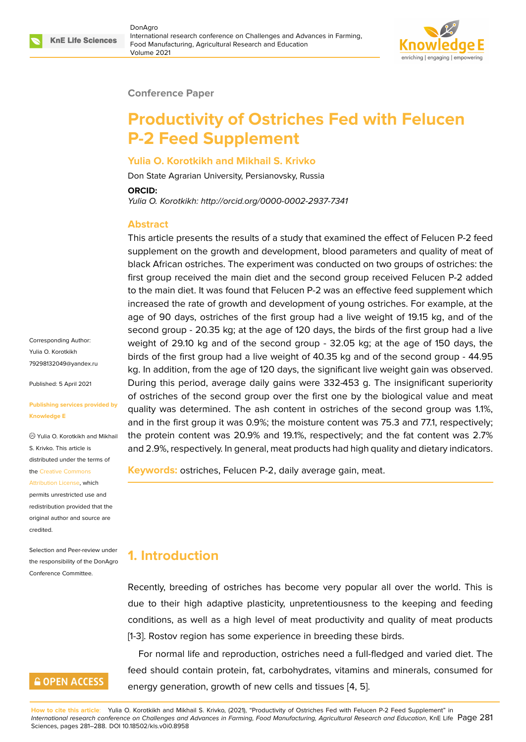

#### **Conference Paper**

# **Productivity of Ostriches Fed with Felucen P-2 Feed Supplement**

#### **Yulia O. Korotkikh and Mikhail S. Krivko**

Don State Agrarian University, Persianovsky, Russia

#### **ORCID:**

*Yulia O. Korotkikh: http://orcid.org/0000-0002-2937-7341*

#### **Abstract**

This article presents the results of a study that examined the effect of Felucen P-2 feed supplement on the growth and development, blood parameters and quality of meat of black African ostriches. The experiment was conducted on two groups of ostriches: the first group received the main diet and the second group received Felucen P-2 added to the main diet. It was found that Felucen P-2 was an effective feed supplement which increased the rate of growth and development of young ostriches. For example, at the age of 90 days, ostriches of the first group had a live weight of 19.15 kg, and of the second group - 20.35 kg; at the age of 120 days, the birds of the first group had a live weight of 29.10 kg and of the second group - 32.05 kg; at the age of 150 days, the birds of the first group had a live weight of 40.35 kg and of the second group - 44.95 kg. In addition, from the age of 120 days, the significant live weight gain was observed. During this period, average daily gains were 332-453 g. The insignificant superiority of ostriches of the second group over the first one by the biological value and meat quality was determined. The ash content in ostriches of the second group was 1.1%, and in the first group it was 0.9%; the moisture content was 75.3 and 77.1, respectively; the protein content was 20.9% and 19.1%, respectively; and the fat content was 2.7% and 2.9%, respectively. In general, meat products had high quality and dietary indicators.

**Keywords:** ostriches, Felucen P-2, daily average gain, meat.

# **1. Introduction**

Recently, breeding of ostriches has become very popular all over the world. This is due to their high adaptive plasticity, unpretentiousness to the keeping and feeding conditions, as well as a high level of meat productivity and quality of meat products [1-3]. Rostov region has some experience in breeding these birds.

For normal life and reproduction, ostriches need a full-fledged and varied diet. The feed should contain protein, fat, carbohydrates, vitamins and minerals, consumed for energy generation, growth of new cells and tissues [4, 5].

**How to cite this article**: Yulia O. Korotkikh and Mikhail S. Krivko, (2021), "Productivity of Ostriches Fed with Felucen P-2 Feed Supplement" in *International research conference on Challenges and Advances in Farming, Food Manufacturing, Agricultural Research and Education*, KnE Life Page 281 Sciences, pages 281–288. DOI 10.18502/kls.v0i0.8958

Corresponding Author: Yulia O. Korotkikh 79298132049@yandex.ru

Published: 5 April 2021

#### **[Publishing services provi](mailto:79298132049@yandex.ru)ded by Knowledge E**

Yulia O. Korotkikh and Mikhail S. Krivko. This article is distributed under the terms of the Creative Commons

Attribution License, which permits unrestricted use and redistribution provided that the orig[inal author and sou](https://creativecommons.org/licenses/by/4.0/)rce are [credited.](https://creativecommons.org/licenses/by/4.0/)

Selection and Peer-review under the responsibility of the DonAgro Conference Committee.

# **GOPEN ACCESS**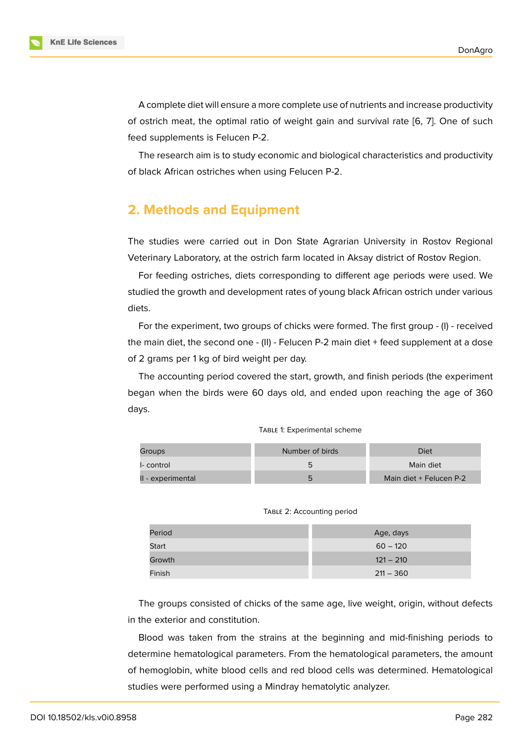A complete diet will ensure a more complete use of nutrients and increase productivity of ostrich meat, the optimal ratio of weight gain and survival rate [6, 7]. One of such feed supplements is Felucen P-2.

The research aim is to study economic and biological characteristics and productivity of black African ostriches when using Felucen P-2.

# **2. Methods and Equipment**

The studies were carried out in Don State Agrarian University in Rostov Regional Veterinary Laboratory, at the ostrich farm located in Aksay district of Rostov Region.

For feeding ostriches, diets corresponding to different age periods were used. We studied the growth and development rates of young black African ostrich under various diets.

For the experiment, two groups of chicks were formed. The first group - (I) - received the main diet, the second one - (II) - Felucen P-2 main diet + feed supplement at a dose of 2 grams per 1 kg of bird weight per day.

The accounting period covered the start, growth, and finish periods (the experiment began when the birds were 60 days old, and ended upon reaching the age of 360 days.

| Groups            | Number of birds | Diet                    |
|-------------------|-----------------|-------------------------|
| I- control        |                 | Main diet               |
| II - experimental |                 | Main diet + Felucen P-2 |

| TABLE 1: Experimental scheme |  |
|------------------------------|--|
|------------------------------|--|

TABLE 2: Accounting period

| Period       | Age, days   |
|--------------|-------------|
| <b>Start</b> | $60 - 120$  |
| Growth       | $121 - 210$ |
| Finish       | $211 - 360$ |

The groups consisted of chicks of the same age, live weight, origin, without defects in the exterior and constitution.

Blood was taken from the strains at the beginning and mid-finishing periods to determine hematological parameters. From the hematological parameters, the amount of hemoglobin, white blood cells and red blood cells was determined. Hematological studies were performed using a Mindray hematolytic analyzer.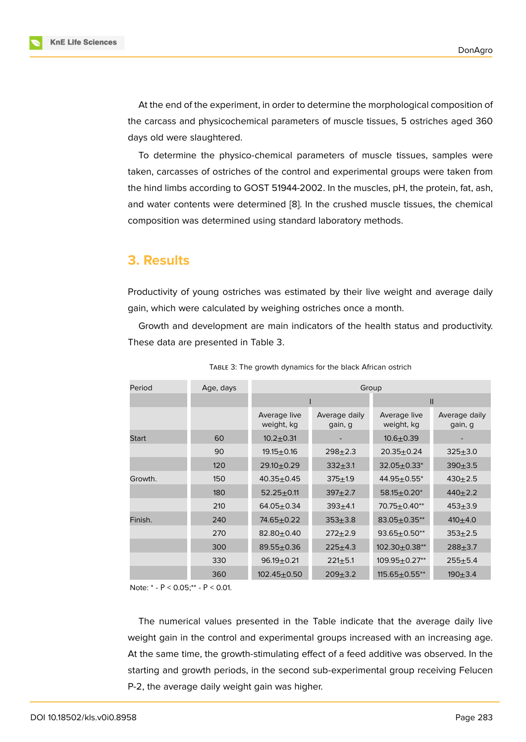At the end of the experiment, in order to determine the morphological composition of the carcass and physicochemical parameters of muscle tissues, 5 ostriches aged 360 days old were slaughtered.

To determine the physico-chemical parameters of muscle tissues, samples were taken, carcasses of ostriches of the control and experimental groups were taken from the hind limbs according to GOST 51944-2002. In the muscles, pH, the protein, fat, ash, and water contents were determined [8]. In the crushed muscle tissues, the chemical composition was determined using standard laboratory methods.

### **3. Results**

Productivity of young ostriches was estimated by their live weight and average daily gain, which were calculated by weighing ostriches once a month.

Growth and development are main indicators of the health status and productivity. These data are presented in Table 3.

| Period  | Age, days | Group                      |                          |                            |                          |  |
|---------|-----------|----------------------------|--------------------------|----------------------------|--------------------------|--|
|         |           |                            |                          | $\mathbf{I}$               |                          |  |
|         |           | Average live<br>weight, kg | Average daily<br>gain, g | Average live<br>weight, kg | Average daily<br>gain, g |  |
| Start   | 60        | $10.2 + 0.31$              |                          | $10.6 + 0.39$              |                          |  |
|         | 90        | $19.15 \pm 0.16$           | $298 + 2.3$              | $20.35 + 0.24$             | $325 + 3.0$              |  |
|         | 120       | 29.10±0.29                 | $332 + 3.1$              | $32.05 \pm 0.33^*$         | $390 + 3.5$              |  |
| Growth. | 150       | $40.35 + 0.45$             | $375 + 1.9$              | $44.95 \pm 0.55^*$         | $430 + 2.5$              |  |
|         | 180       | $52.25 \pm 0.11$           | $397 + 2.7$              | $58.15 \pm 0.20^*$         | $440+2.2$                |  |
|         | 210       | $64.05 \pm 0.34$           | $393 + 4.1$              | $70.75 \pm 0.40**$         | $453 + 3.9$              |  |
| Finish. | 240       | 74.65±0.22                 | $353 + 3.8$              | $83.05 \pm 0.35**$         | $410+4.0$                |  |
|         | 270       | $82.80 + 0.40$             | $272 + 2.9$              | $93.65 \pm 0.50**$         | $353 + 2.5$              |  |
|         | 300       | $89.55 \pm 0.36$           | $225 + 4.3$              | $102.30 \pm 0.38**$        | $288 + 3.7$              |  |
|         | 330       | $96.19 + 0.21$             | $221 \pm 5.1$            | $109.95 \pm 0.27**$        | $255 + 5.4$              |  |
|         | 360       | $102.45 \pm 0.50$          | $209 + 3.2$              | $115.65 \pm 0.55$ **       | $190 + 3.4$              |  |

TABLE 3: The growth dynamics for the black African ostrich

Note: \* - Р < 0.05;\*\* - Р < 0.01.

The numerical values presented in the Table indicate that the average daily live weight gain in the control and experimental groups increased with an increasing age. At the same time, the growth-stimulating effect of a feed additive was observed. In the starting and growth periods, in the second sub-experimental group receiving Felucen P-2, the average daily weight gain was higher.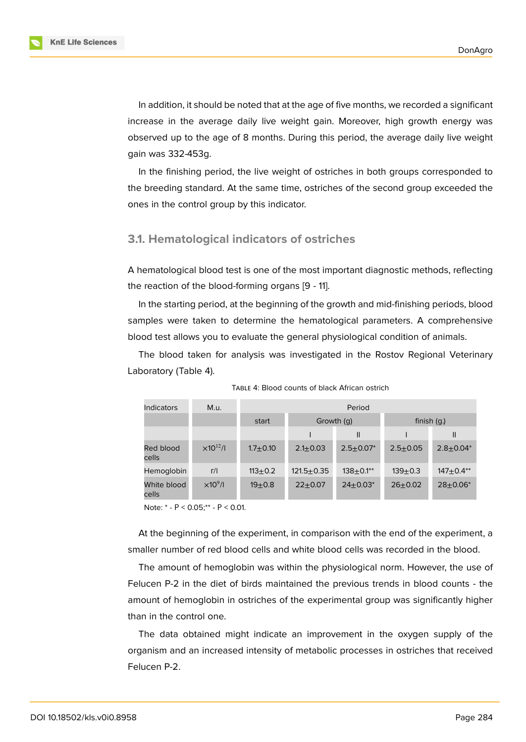In addition, it should be noted that at the age of five months, we recorded a significant increase in the average daily live weight gain. Moreover, high growth energy was observed up to the age of 8 months. During this period, the average daily live weight gain was 332-453g.

In the finishing period, the live weight of ostriches in both groups corresponded to the breeding standard. At the same time, ostriches of the second group exceeded the ones in the control group by this indicator.

#### **3.1. Hematological indicators of ostriches**

A hematological blood test is one of the most important diagnostic methods, reflecting the reaction of the blood-forming organs [9 - 11].

In the starting period, at the beginning of the growth and mid-finishing periods, blood samples were taken to determine the hematological parameters. A comprehensive blood test allows you to evaluate the general physiological condition of animals.

The blood taken for analysis was investigated in the Rostov Regional Veterinary Laboratory (Table 4).

| <b>Indicators</b>    | M.u.                | Period         |                |                  |              |                  |
|----------------------|---------------------|----------------|----------------|------------------|--------------|------------------|
|                      |                     | start          | Growth (q)     |                  | finish $(g)$ |                  |
|                      |                     |                |                | $\mathbf{I}$     |              | $\mathbf{I}$     |
| Red blood<br>cells   | $\times 10^{12}$ /I | $1.7 \pm 0.10$ | $2.1 \pm 0.03$ | $2.5 \pm 0.07^*$ | $2.5 + 0.05$ | $2.8 \pm 0.04^*$ |
| Hemoglobin           | $\Gamma$ /          | $113+0.2$      | $121.5 + 0.35$ | $138+0.1**$      | $139 + 0.3$  | $147+0.4**$      |
| White blood<br>cells | $\times10^9$ /l     | $19 + 0.8$     | $22+0.07$      | $24+0.03*$       | $26 + 0.02$  | $28+0.06*$       |

TABLE 4: Blood counts of black African ostrich

Note: \* - Р < 0.05;\*\* - Р < 0.01.

At the beginning of the experiment, in comparison with the end of the experiment, a smaller number of red blood cells and white blood cells was recorded in the blood.

The amount of hemoglobin was within the physiological norm. However, the use of Felucen P-2 in the diet of birds maintained the previous trends in blood counts - the amount of hemoglobin in ostriches of the experimental group was significantly higher than in the control one.

The data obtained might indicate an improvement in the oxygen supply of the organism and an increased intensity of metabolic processes in ostriches that received Felucen P-2.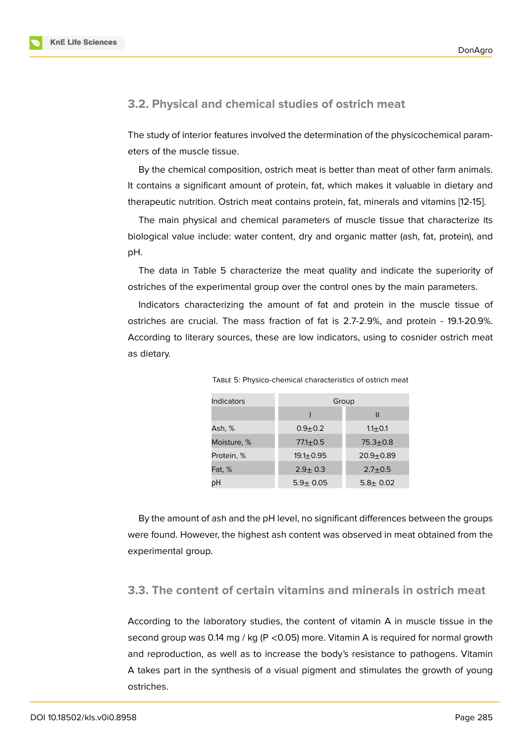#### **3.2. Physical and chemical studies of ostrich meat**

The study of interior features involved the determination of the physicochemical parameters of the muscle tissue.

By the chemical composition, ostrich meat is better than meat of other farm animals. It contains a significant amount of protein, fat, which makes it valuable in dietary and therapeutic nutrition. Ostrich meat contains protein, fat, minerals and vitamins [12-15].

The main physical and chemical parameters of muscle tissue that characterize its biological value include: water content, dry and organic matter (ash, fat, protein), and pH.

The data in Table 5 characterize the meat quality and indicate the superiority of ostriches of the experimental group over the control ones by the main parameters.

Indicators characterizing the amount of fat and protein in the muscle tissue of ostriches are crucial. The mass fraction of fat is 2.7-2.9%, and protein - 19.1-20.9%. According to literary sources, these are low indicators, using to cosnider ostrich meat as dietary.

| Indicators  | Group          |               |  |  |
|-------------|----------------|---------------|--|--|
|             |                | Ш             |  |  |
| Ash, %      | $0.9 + 0.2$    | $1.1 \pm 0.1$ |  |  |
| Moisture, % | $77.1 + 0.5$   | $75.3 + 0.8$  |  |  |
| Protein, %  | $19.1 + 0.95$  | $20.9 + 0.89$ |  |  |
| Fat, %      | $2.9 \pm 0.3$  | $2.7 + 0.5$   |  |  |
| рH          | $5.9 \pm 0.05$ | $5.8 + 0.02$  |  |  |

TABLE 5: Physico-chemical characteristics of ostrich meat

By the amount of ash and the pH level, no significant differences between the groups were found. However, the highest ash content was observed in meat obtained from the experimental group.

#### **3.3. The content of certain vitamins and minerals in ostrich meat**

According to the laboratory studies, the content of vitamin A in muscle tissue in the second group was 0.14 mg / kg ( $P < 0.05$ ) more. Vitamin A is required for normal growth and reproduction, as well as to increase the body's resistance to pathogens. Vitamin A takes part in the synthesis of a visual pigment and stimulates the growth of young ostriches.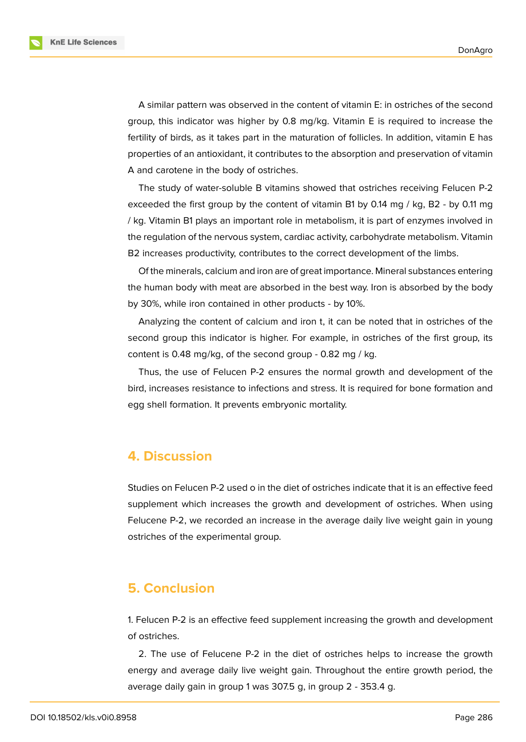**KnE Life Sciences** 

A similar pattern was observed in the content of vitamin E: in ostriches of the second group, this indicator was higher by 0.8 mg/kg. Vitamin E is required to increase the fertility of birds, as it takes part in the maturation of follicles. In addition, vitamin E has properties of an antioxidant, it contributes to the absorption and preservation of vitamin A and carotene in the body of ostriches.

The study of water-soluble B vitamins showed that ostriches receiving Felucen P-2 exceeded the first group by the content of vitamin B1 by 0.14 mg / kg, B2 - by 0.11 mg / kg. Vitamin B1 plays an important role in metabolism, it is part of enzymes involved in the regulation of the nervous system, cardiac activity, carbohydrate metabolism. Vitamin B2 increases productivity, contributes to the correct development of the limbs.

Of the minerals, calcium and iron are of great importance. Mineral substances entering the human body with meat are absorbed in the best way. Iron is absorbed by the body by 30%, while iron contained in other products - by 10%.

Analyzing the content of calcium and iron t, it can be noted that in ostriches of the second group this indicator is higher. For example, in ostriches of the first group, its content is 0.48 mg/kg, of the second group - 0.82 mg / kg.

Thus, the use of Felucen P-2 ensures the normal growth and development of the bird, increases resistance to infections and stress. It is required for bone formation and egg shell formation. It prevents embryonic mortality.

### **4. Discussion**

Studies on Felucen P-2 used o in the diet of ostriches indicate that it is an effective feed supplement which increases the growth and development of ostriches. When using Felucene P-2, we recorded an increase in the average daily live weight gain in young ostriches of the experimental group.

### **5. Conclusion**

1. Felucen P-2 is an effective feed supplement increasing the growth and development of ostriches.

2. The use of Felucene P-2 in the diet of ostriches helps to increase the growth energy and average daily live weight gain. Throughout the entire growth period, the average daily gain in group 1 was 307.5 g, in group 2 - 353.4 g.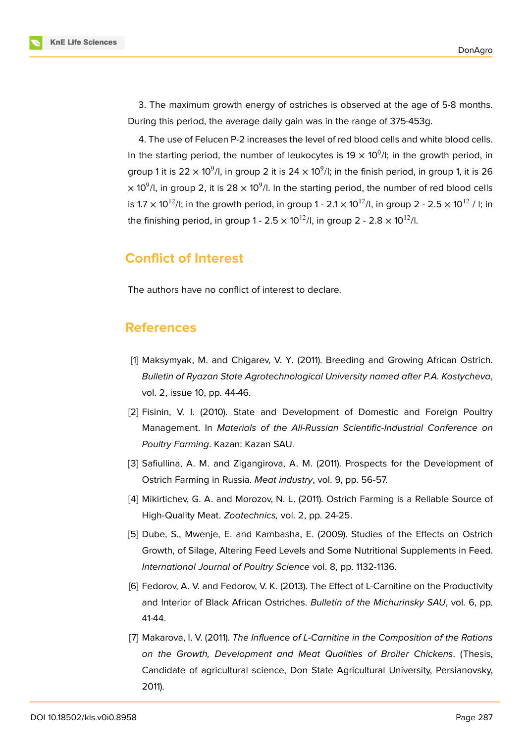3. The maximum growth energy of ostriches is observed at the age of 5-8 months. During this period, the average daily gain was in the range of 375-453g.

4. The use of Felucen P-2 increases the level of red blood cells and white blood cells. In the starting period, the number of leukocytes is 19  $\times$  10<sup>9</sup>/I; in the growth period, in group 1 it is 22  $\times$  10 $^9$ /l, in group 2 it is 24  $\times$  10 $^9$ /l; in the finish period, in group 1, it is 26  $\times$  10 $^{9}$ /l, in group 2, it is 28  $\times$  10 $^{9}$ /l. In the starting period, the number of red blood cells is 1.7  $\times$  10<sup>12</sup>/l; in the growth period, in group 1 - 2.1  $\times$  10<sup>12</sup>/l, in group 2 - 2.5  $\times$  10<sup>12</sup>/l; in the finishing period, in group 1 -  $2.5 \times 10^{12}$ /l, in group 2 -  $2.8 \times 10^{12}$ /l.

### **Conflict of Interest**

The authors have no conflict of interest to declare.

### **References**

- [1] Maksymyak, M. and Chigarev, V. Y. (2011). Breeding and Growing African Ostrich. *Bulletin of Ryazan State Agrotechnological University named after P.A. Kostycheva*, vol. 2, issue 10, pp. 44-46.
- [2] Fisinin, V. I. (2010). State and Development of Domestic and Foreign Poultry Management. In *Materials of the All-Russian Scientific-Industrial Conference on Poultry Farming*. Kazan: Kazan SAU.
- [3] Safiullina, A. M. and Zigangirova, A. M. (2011). Prospects for the Development of Ostrich Farming in Russia. *Meat industry*, vol. 9, pp. 56-57.
- [4] Mikirtichev, G. A. and Morozov, N. L. (2011). Ostrich Farming is a Reliable Source of High-Quality Meat. *Zootechnics,* vol. 2, pp. 24-25.
- [5] Dube, S., Mwenje, E. and Kambasha, E. (2009). Studies of the Effects on Ostrich Growth, of Silage, Altering Feed Levels and Some Nutritional Supplements in Feed. *International Journal of Poultry Science* vol. 8, pp. 1132-1136.
- [6] Fedorov, A. V. and Fedorov, V. K. (2013). The Effect of L-Carnitine on the Productivity and Interior of Black African Ostriches. *Bulletin of the Michurinsky SAU*, vol. 6, pp. 41-44.
- [7] Makarova, I. V. (2011). *The Influence of L-Carnitine in the Composition of the Rations on the Growth, Development and Meat Qualities of Broiler Chickens*. (Thesis, Candidate of agricultural science, Don State Agricultural University, Persianovsky, 2011).